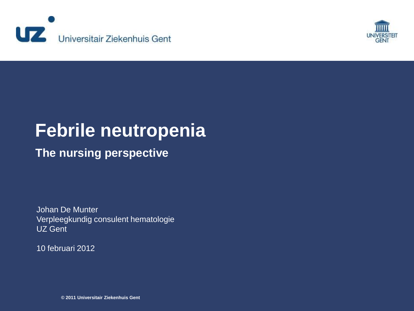



### **The nursing perspective**

Johan De Munter Verpleegkundig consulent hematologie UZ Gent

10 februari 2012

**© 2011 Universitair Ziekenhuis Gent**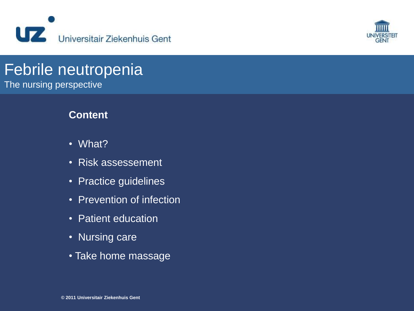



The nursing perspective

### **Content**

- •What?
- Risk assessement
- Practice guidelines
- Prevention of infection
- Patient education
- Nursing care
- Take home massage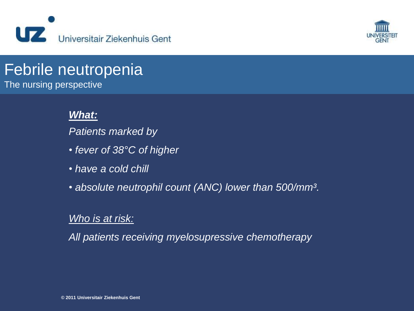



The nursing perspective

### *What:*

*Patients marked by*

- *fever of 38°C of higher*
- *have a cold chill*
- *absolute neutrophil count (ANC) lower than 500/mm³.*

### *Who is at risk:*

*All patients receiving myelosupressive chemotherapy*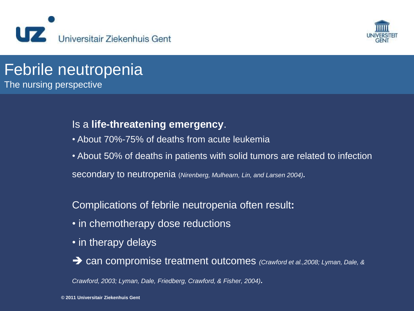



### Febrile neutropenia The nursing perspective

### Is a **life-threatening emergency**.

- About 70%-75% of deaths from acute leukemia
- About 50% of deaths in patients with solid tumors are related to infection secondary to neutropenia (*Nirenberg, Mulhearn, Lin, and Larsen 2004).*

### Complications of febrile neutropenia often result**:**

- in chemotherapy dose reductions
- in therapy delays
- can compromise treatment outcomes *(Crawford et al.,2008; Lyman, Dale, &*

*Crawford, 2003; Lyman, Dale, Friedberg, Crawford, & Fisher, 2004).*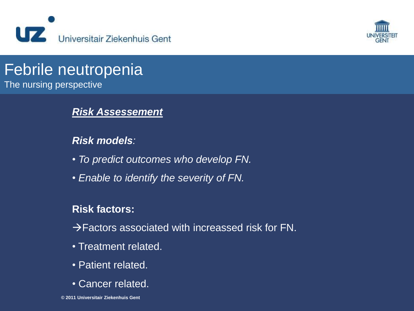



The nursing perspective

### *Risk Assessement*

### *Risk models:*

- *To predict outcomes who develop FN.*
- *Enable to identify the severity of FN.*

### **Risk factors:**

 $\rightarrow$  Factors associated with increassed risk for FN.

- Treatment related.
- Patient related.
- Cancer related.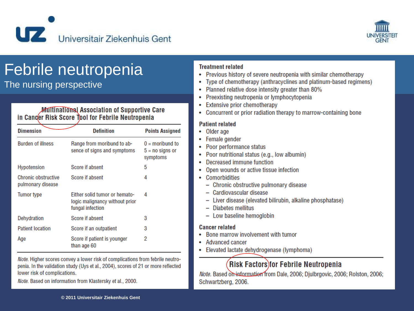



The nursing perspective

#### **Multinational Association of Supportive Care** in Canger Risk Score Tool for Febrile Neutropenia

| <b>Dimension</b>                                | <b>Definition</b>                                                                   | <b>Points Assigned</b>                             |
|-------------------------------------------------|-------------------------------------------------------------------------------------|----------------------------------------------------|
| <b>Burden of illness</b>                        | Range from moribund to ab-<br>sence of signs and symptoms                           | $0 =$ moribund to<br>$5 = no$ signs or<br>symptoms |
| <b>Hypotension</b>                              | Score if absent                                                                     | 5                                                  |
| <b>Chronic obstructive</b><br>pulmonary disease | Score if absent                                                                     | 4                                                  |
| Tumor type                                      | Either solid tumor or hemato-<br>logic malignancy without prior<br>fungal infection | 4                                                  |
| Dehydration                                     | Score if absent                                                                     | 3                                                  |
| <b>Patient location</b>                         | Score if an outpatient                                                              | 3                                                  |
| Age                                             | Score if patient is younger<br>than age 60                                          | 2                                                  |

Note. Higher scores convey a lower risk of complications from febrile neutropenia. In the validation study (Uys et al., 2004), scores of 21 or more reflected lower risk of complications.

Note. Based on information from Klastersky et al., 2000.

#### **Treatment related**

- Previous history of severe neutropenia with similar chemotherapy
- Type of chemotherapy (anthracyclines and platinum-based regimens)
- Planned relative dose intensity greater than 80%
- Preexisting neutropenia or lymphocytopenia
- **Extensive prior chemotherapy**
- Concurrent or prior radiation therapy to marrow-containing bone

#### **Patient related**

- Older age
- Female gender
- Poor performance status
- Poor nutritional status (e.g., low albumin)
- Decreased immune function
- Open wounds or active tissue infection
- Comorbidities
	- Chronic obstructive pulmonary disease
	- Cardiovascular disease
	- Liver disease (elevated bilirubin, alkaline phosphatase)
	- Diabetes mellitus
	- Low baseline hemoglobin

#### **Cancer related**

- Bone marrow involvement with tumor
- Advanced cancer
- Elevated lactate dehydrogenase (lymphoma)

### **Risk Factors for Febrile Neutropenia**

Note. Based on information from Dale, 2006; Djulbrgovic, 2006; Rolston, 2006; Schwartzberg, 2006.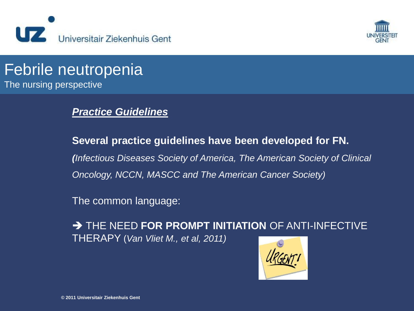



### Febrile neutropenia The nursing perspective

### *Practice Guidelines*

**Several practice guidelines have been developed for FN.** *(Infectious Diseases Society of America, The American Society of Clinical Oncology, NCCN, MASCC and The American Cancer Society)*

The common language:

**THE NEED FOR PROMPT INITIATION OF ANTI-INFECTIVE** THERAPY (*Van Vliet M., et al, 2011)*

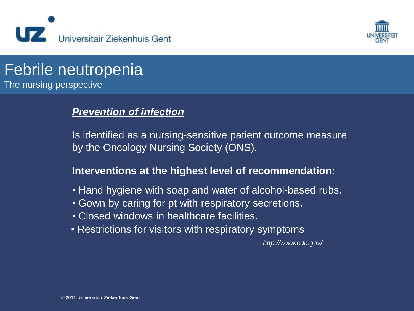



The nursing perspective

### *Prevention of infection*

Is identified as a nursing-sensitive patient outcome measure by the Oncology Nursing Society (ONS).

### **Interventions at the highest level of recommendation:**

- Hand hygiene with soap and water of alcohol-based rubs.
- Gown by caring for pt with respiratory secretions.
- Closed windows in healthcare facilities.
- Restrictions for visitors with respiratory symptoms

*http://www.cdc.gov/*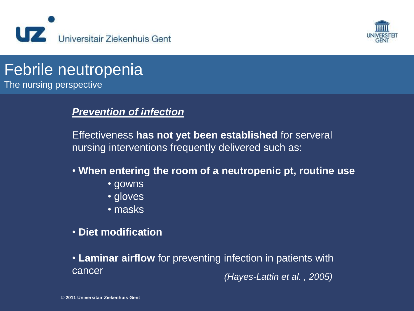



The nursing perspective

### *Prevention of infection*

Effectiveness **has not yet been established** for serveral nursing interventions frequently delivered such as:

- **When entering the room of a neutropenic pt, routine use**
	- gowns
	- gloves
	- masks
- **Diet modification**
- **Laminar airflow** for preventing infection in patients with cancer *(Hayes-Lattin et al. , 2005)*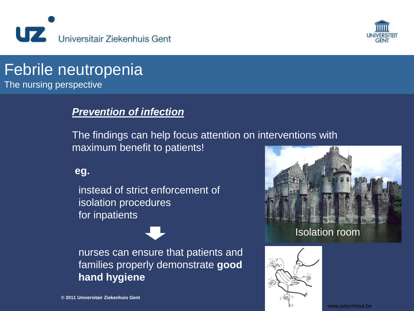



The nursing perspective

### *Prevention of infection*

The findings can help focus attention on interventions with maximum benefit to patients!

#### **eg.**

instead of strict enforcement of isolation procedures for inpatients

nurses can ensure that patients and families properly demonstrate **good hand hygiene**



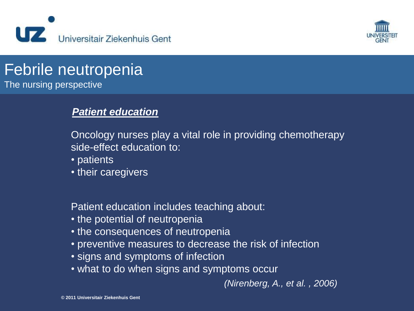



The nursing perspective

### *Patient education*

Oncology nurses play a vital role in providing chemotherapy side-effect education to:

- patients
- their caregivers

Patient education includes teaching about:

- the potential of neutropenia
- the consequences of neutropenia
- preventive measures to decrease the risk of infection
- signs and symptoms of infection
- what to do when signs and symptoms occur

*(Nirenberg, A., et al. , 2006)*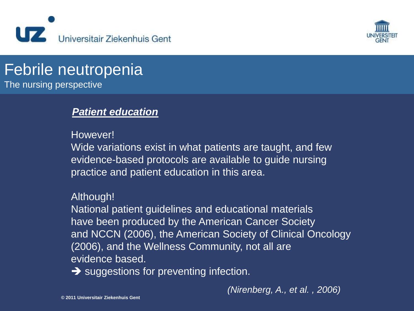



The nursing perspective

### *Patient education*

However!

Wide variations exist in what patients are taught, and few evidence-based protocols are available to guide nursing practice and patient education in this area.

### Although!

National patient guidelines and educational materials have been produced by the American Cancer Society and NCCN (2006), the American Society of Clinical Oncology (2006), and the Wellness Community, not all are evidence based.

 $\rightarrow$  suggestions for preventing infection.

*(Nirenberg, A., et al. , 2006)*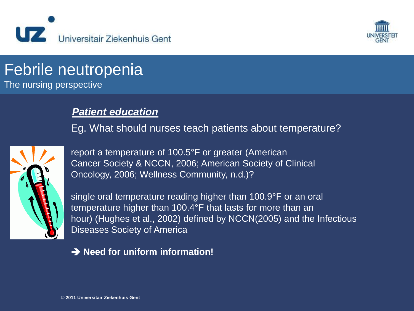



The nursing perspective

### *Patient education*

Eg. What should nurses teach patients about temperature?



report a temperature of 100.5°F or greater (American Cancer Society & NCCN, 2006; American Society of Clinical Oncology, 2006; Wellness Community, n.d.)?

single oral temperature reading higher than 100.9°F or an oral temperature higher than 100.4°F that lasts for more than an hour) (Hughes et al., 2002) defined by NCCN(2005) and the Infectious Diseases Society of America

#### **→ Need for uniform information!**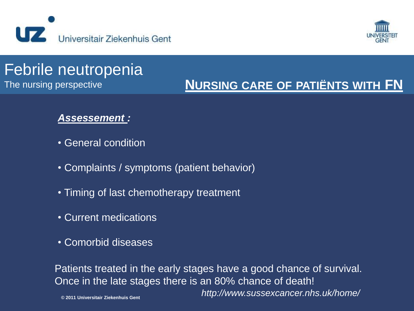



The nursing perspective

## **NURSING CARE OF PATIËNTS WITH FN**

### *Assessement :*

- General condition
- Complaints / symptoms (patient behavior)
- Timing of last chemotherapy treatment
- Current medications
- Comorbid diseases

Patients treated in the early stages have a good chance of survival. Once in the late stages there is an 80% chance of death! *http://www.sussexcancer.nhs.uk/home/*

**© 2011 Universitair Ziekenhuis Gent**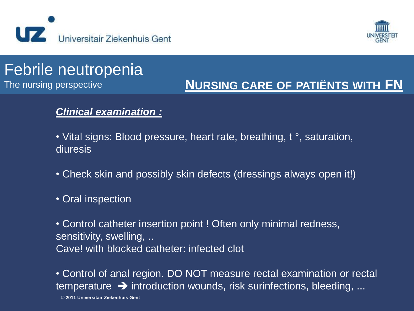



The nursing perspective

### **NURSING CARE OF PATIËNTS WITH FN**

### *Clinical examination :*

• Vital signs: Blood pressure, heart rate, breathing, t °, saturation, diuresis

- Check skin and possibly skin defects (dressings always open it!)
- Oral inspection

• Control catheter insertion point ! Often only minimal redness, sensitivity, swelling, .. Cave! with blocked catheter: infected clot

• Control of anal region. DO NOT measure rectal examination or rectal temperature  $\rightarrow$  introduction wounds, risk surinfections, bleeding, ...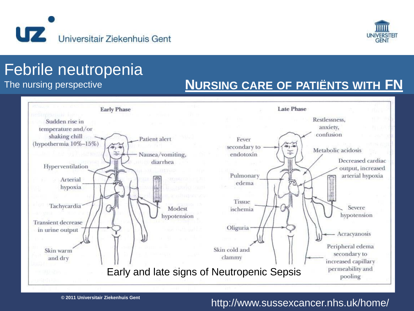



The nursing perspective

### **NURSING CARE OF PATIËNTS WITH FN**



#### http://www.sussexcancer.nhs.uk/home/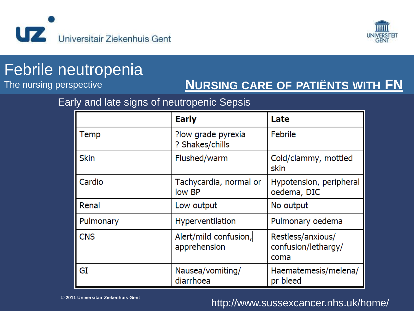



The nursing perspective

### **NURSING CARE OF PATIËNTS WITH FN**

### Early and late signs of neutropenic Sepsis

|             | <b>Early</b>                          | Late                                             |
|-------------|---------------------------------------|--------------------------------------------------|
| Temp        | ?low grade pyrexia<br>? Shakes/chills | <b>Febrile</b>                                   |
| <b>Skin</b> | Flushed/warm                          | Cold/clammy, mottled<br>skin                     |
| Cardio      | Tachycardia, normal or<br>low BP      | Hypotension, peripheral<br>oedema, DIC           |
| Renal       | Low output                            | No output                                        |
| Pulmonary   | Hyperventilation                      | Pulmonary oedema                                 |
| <b>CNS</b>  | Alert/mild confusion,<br>apprehension | Restless/anxious/<br>confusion/lethargy/<br>coma |
| GI          | Nausea/vomiting/<br>diarrhoea         | Haematemesis/melena/<br>pr bleed                 |

**© 2011 Universitair Ziekenhuis Gent**

### http://www.sussexcancer.nhs.uk/home/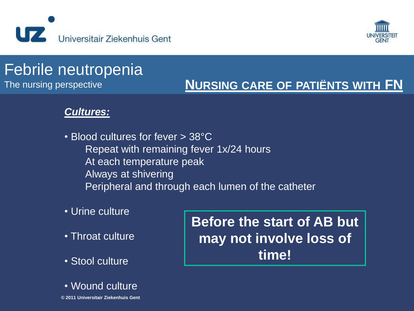



### The nursing perspective **NURSING CARE OF PATIËNTS WITH FN**

### *Cultures:*

- Blood cultures for fever > 38°C Repeat with remaining fever 1x/24 hours At each temperature peak Always at shivering Peripheral and through each lumen of the catheter
- Urine culture
- Throat culture
- Stool culture
- **© 2011 Universitair Ziekenhuis Gent** • Wound culture

**Before the start of AB but may not involve loss of time!**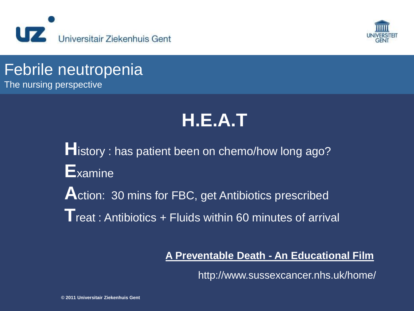



The nursing perspective

# **H.E.A.T**

**H**istory : has patient been on chemo/how long ago? **E**xamine Action: 30 mins for FBC, get Antibiotics prescribed **T**reat : Antibiotics + Fluids within 60 minutes of arrival

### **A Preventable Death - An Educational Film**

http://www.sussexcancer.nhs.uk/home/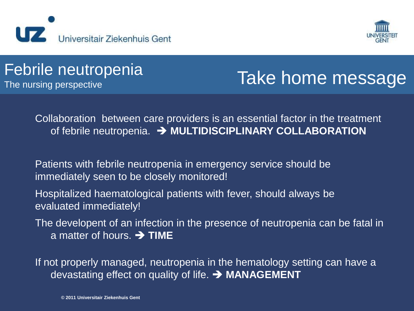



## The nursing perspective Take home message

Collaboration between care providers is an essential factor in the treatment of febrile neutropenia.  $\rightarrow$  **MULTIDISCIPLINARY COLLABORATION** 

Patients with febrile neutropenia in emergency service should be immediately seen to be closely monitored!

Hospitalized haematological patients with fever, should always be evaluated immediately!

The developent of an infection in the presence of neutropenia can be fatal in a matter of hours.  $\rightarrow$  **TIME** 

If not properly managed, neutropenia in the hematology setting can have a devastating effect on quality of life.  $\rightarrow$  **MANAGEMENT**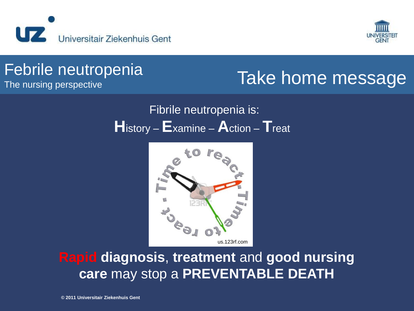



## The nursing perspective Take home message

### Fibrile neutropenia is: **H**istory – **E**xamine – **A**ction – **T**reat



**Rapid diagnosis**, **treatment** and **good nursing care** may stop a **PREVENTABLE DEATH**

**© 2011 Universitair Ziekenhuis Gent**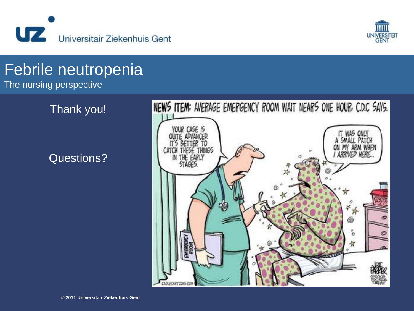



The nursing perspective

Thank you!

Questions?